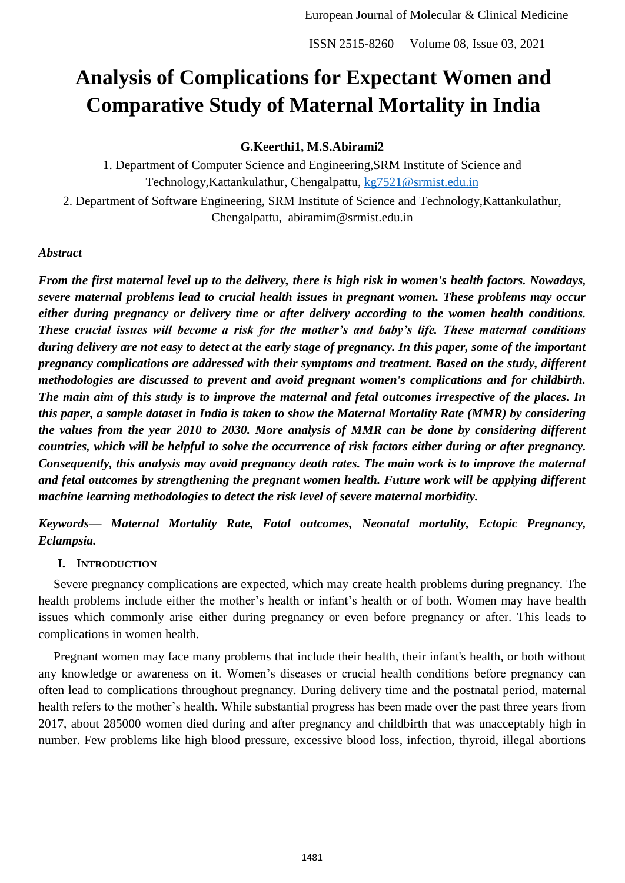# **Analysis of Complications for Expectant Women and Comparative Study of Maternal Mortality in India**

# **G.Keerthi1, M.S.Abirami2**

1. Department of Computer Science and Engineering,SRM Institute of Science and Technology, Kattankulathur, Chengalpattu, [kg7521@srmist.edu.in](mailto:kg7521@srmist.edu.in)

2. Department of Software Engineering, SRM Institute of Science and Technology,Kattankulathur, Chengalpattu, abiramim@srmist.edu.in

## *Abstract*

*From the first maternal level up to the delivery, there is high risk in women's health factors. Nowadays, severe maternal problems lead to crucial health issues in pregnant women. These problems may occur either during pregnancy or delivery time or after delivery according to the women health conditions. These crucial issues will become a risk for the mother's and baby's life. These maternal conditions during delivery are not easy to detect at the early stage of pregnancy. In this paper, some of the important pregnancy complications are addressed with their symptoms and treatment. Based on the study, different methodologies are discussed to prevent and avoid pregnant women's complications and for childbirth. The main aim of this study is to improve the maternal and fetal outcomes irrespective of the places. In this paper, a sample dataset in India is taken to show the Maternal Mortality Rate (MMR) by considering the values from the year 2010 to 2030. More analysis of MMR can be done by considering different countries, which will be helpful to solve the occurrence of risk factors either during or after pregnancy. Consequently, this analysis may avoid pregnancy death rates. The main work is to improve the maternal and fetal outcomes by strengthening the pregnant women health. Future work will be applying different machine learning methodologies to detect the risk level of severe maternal morbidity.* 

*Keywords— Maternal Mortality Rate, Fatal outcomes, Neonatal mortality, Ectopic Pregnancy, Eclampsia.*

## **I. INTRODUCTION**

Severe pregnancy complications are expected, which may create health problems during pregnancy. The health problems include either the mother's health or infant's health or of both. Women may have health issues which commonly arise either during pregnancy or even before pregnancy or after. This leads to complications in women health.

Pregnant women may face many problems that include their health, their infant's health, or both without any knowledge or awareness on it. Women's diseases or crucial health conditions before pregnancy can often lead to complications throughout pregnancy. During delivery time and the postnatal period, maternal health refers to the mother's health. While substantial progress has been made over the past three years from 2017, about 285000 women died during and after pregnancy and childbirth that was unacceptably high in number. Few problems like high blood pressure, excessive blood loss, infection, thyroid, illegal abortions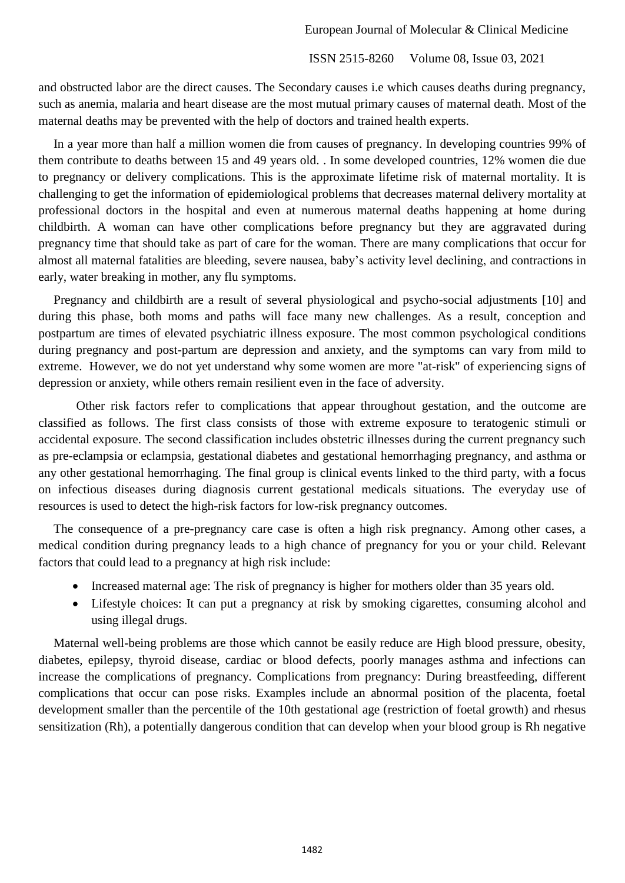and obstructed labor are the direct causes. The Secondary causes i.e which causes deaths during pregnancy, such as anemia, malaria and heart disease are the most mutual primary causes of maternal death. Most of the maternal deaths may be prevented with the help of doctors and trained health experts.

In a year more than half a million women die from causes of pregnancy. In developing countries 99% of them contribute to deaths between 15 and 49 years old. . In some developed countries, 12% women die due to pregnancy or delivery complications. This is the approximate lifetime risk of maternal mortality. It is challenging to get the information of epidemiological problems that decreases maternal delivery mortality at professional doctors in the hospital and even at numerous maternal deaths happening at home during childbirth. A woman can have other complications before pregnancy but they are aggravated during pregnancy time that should take as part of care for the woman. There are many complications that occur for almost all maternal fatalities are bleeding, severe nausea, baby's activity level declining, and contractions in early, water breaking in mother, any flu symptoms.

Pregnancy and childbirth are a result of several physiological and psycho-social adjustments [10] and during this phase, both moms and paths will face many new challenges. As a result, conception and postpartum are times of elevated psychiatric illness exposure. The most common psychological conditions during pregnancy and post-partum are depression and anxiety, and the symptoms can vary from mild to extreme. However, we do not yet understand why some women are more "at-risk" of experiencing signs of depression or anxiety, while others remain resilient even in the face of adversity.

Other risk factors refer to complications that appear throughout gestation, and the outcome are classified as follows. The first class consists of those with extreme exposure to teratogenic stimuli or accidental exposure. The second classification includes obstetric illnesses during the current pregnancy such as pre-eclampsia or eclampsia, gestational diabetes and gestational hemorrhaging pregnancy, and asthma or any other gestational hemorrhaging. The final group is clinical events linked to the third party, with a focus on infectious diseases during diagnosis current gestational medicals situations. The everyday use of resources is used to detect the high-risk factors for low-risk pregnancy outcomes.

The consequence of a pre-pregnancy care case is often a high risk pregnancy. Among other cases, a medical condition during pregnancy leads to a high chance of pregnancy for you or your child. Relevant factors that could lead to a pregnancy at high risk include:

- Increased maternal age: The risk of pregnancy is higher for mothers older than 35 years old.
- Lifestyle choices: It can put a pregnancy at risk by smoking cigarettes, consuming alcohol and using illegal drugs.

Maternal well-being problems are those which cannot be easily reduce are High blood pressure, obesity, diabetes, epilepsy, thyroid disease, cardiac or blood defects, poorly manages asthma and infections can increase the complications of pregnancy. Complications from pregnancy: During breastfeeding, different complications that occur can pose risks. Examples include an abnormal position of the placenta, foetal development smaller than the percentile of the 10th gestational age (restriction of foetal growth) and rhesus sensitization (Rh), a potentially dangerous condition that can develop when your blood group is Rh negative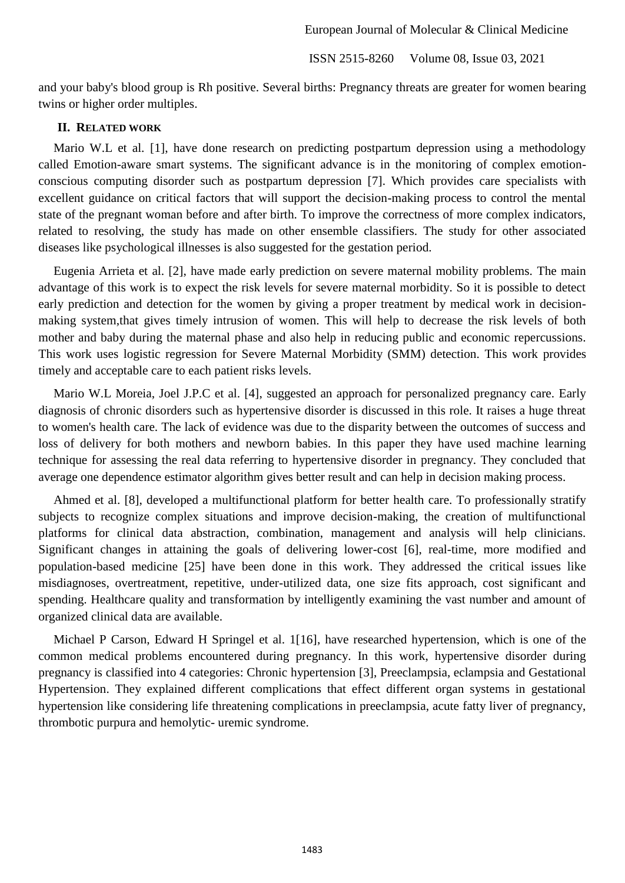and your baby's blood group is Rh positive. Several births: Pregnancy threats are greater for women bearing twins or higher order multiples.

### **II. RELATED WORK**

Mario W.L et al. [1], have done research on predicting postpartum depression using a methodology called Emotion-aware smart systems. The significant advance is in the monitoring of complex emotionconscious computing disorder such as postpartum depression [7]. Which provides care specialists with excellent guidance on critical factors that will support the decision-making process to control the mental state of the pregnant woman before and after birth. To improve the correctness of more complex indicators, related to resolving, the study has made on other ensemble classifiers. The study for other associated diseases like psychological illnesses is also suggested for the gestation period.

Eugenia Arrieta et al. [2], have made early prediction on severe maternal mobility problems. The main advantage of this work is to expect the risk levels for severe maternal morbidity. So it is possible to detect early prediction and detection for the women by giving a proper treatment by medical work in decisionmaking system,that gives timely intrusion of women. This will help to decrease the risk levels of both mother and baby during the maternal phase and also help in reducing public and economic repercussions. This work uses logistic regression for Severe Maternal Morbidity (SMM) detection. This work provides timely and acceptable care to each patient risks levels.

Mario W.L Moreia, Joel J.P.C et al. [4], suggested an approach for personalized pregnancy care. Early diagnosis of chronic disorders such as hypertensive disorder is discussed in this role. It raises a huge threat to women's health care. The lack of evidence was due to the disparity between the outcomes of success and loss of delivery for both mothers and newborn babies. In this paper they have used machine learning technique for assessing the real data referring to hypertensive disorder in pregnancy. They concluded that average one dependence estimator algorithm gives better result and can help in decision making process.

Ahmed et al. [8], developed a multifunctional platform for better health care. To professionally stratify subjects to recognize complex situations and improve decision-making, the creation of multifunctional platforms for clinical data abstraction, combination, management and analysis will help clinicians. Significant changes in attaining the goals of delivering lower-cost [6], real-time, more modified and population-based medicine [25] have been done in this work. They addressed the critical issues like misdiagnoses, overtreatment, repetitive, under-utilized data, one size fits approach, cost significant and spending. Healthcare quality and transformation by intelligently examining the vast number and amount of organized clinical data are available.

Michael P Carson, Edward H Springel et al. 1[16], have researched hypertension, which is one of the common medical problems encountered during pregnancy. In this work, hypertensive disorder during pregnancy is classified into 4 categories: Chronic hypertension [3], Preeclampsia, eclampsia and Gestational Hypertension. They explained different complications that effect different organ systems in gestational hypertension like considering life threatening complications in preeclampsia, acute fatty liver of pregnancy, thrombotic purpura and hemolytic- uremic syndrome.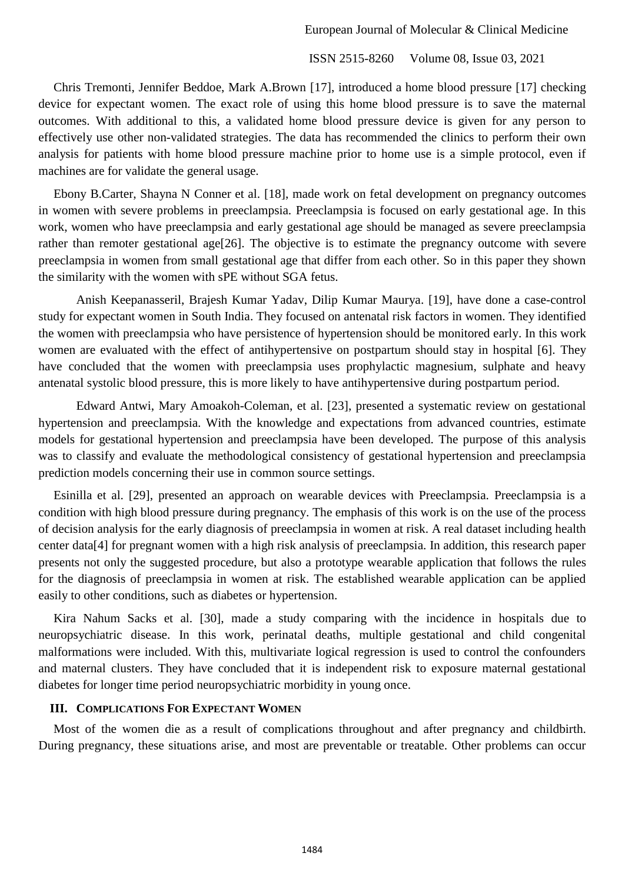Chris Tremonti, Jennifer Beddoe, Mark A.Brown [17], introduced a home blood pressure [17] checking device for expectant women. The exact role of using this home blood pressure is to save the maternal outcomes. With additional to this, a validated home blood pressure device is given for any person to effectively use other non-validated strategies. The data has recommended the clinics to perform their own analysis for patients with home blood pressure machine prior to home use is a simple protocol, even if machines are for validate the general usage.

Ebony B.Carter, Shayna N Conner et al. [18], made work on fetal development on pregnancy outcomes in women with severe problems in preeclampsia. Preeclampsia is focused on early gestational age. In this work, women who have preeclampsia and early gestational age should be managed as severe preeclampsia rather than remoter gestational age[26]. The objective is to estimate the pregnancy outcome with severe preeclampsia in women from small gestational age that differ from each other. So in this paper they shown the similarity with the women with sPE without SGA fetus.

Anish Keepanasseril, Brajesh Kumar Yadav, Dilip Kumar Maurya. [19], have done a case-control study for expectant women in South India. They focused on antenatal risk factors in women. They identified the women with preeclampsia who have persistence of hypertension should be monitored early. In this work women are evaluated with the effect of antihypertensive on postpartum should stay in hospital [6]. They have concluded that the women with preeclampsia uses prophylactic magnesium, sulphate and heavy antenatal systolic blood pressure, this is more likely to have antihypertensive during postpartum period.

Edward Antwi, Mary Amoakoh-Coleman, et al. [23], presented a systematic review on gestational hypertension and preeclampsia. With the knowledge and expectations from advanced countries, estimate models for gestational hypertension and preeclampsia have been developed. The purpose of this analysis was to classify and evaluate the methodological consistency of gestational hypertension and preeclampsia prediction models concerning their use in common source settings.

Esinilla et al. [29], presented an approach on wearable devices with Preeclampsia. Preeclampsia is a condition with high blood pressure during pregnancy. The emphasis of this work is on the use of the process of decision analysis for the early diagnosis of preeclampsia in women at risk. A real dataset including health center data[4] for pregnant women with a high risk analysis of preeclampsia. In addition, this research paper presents not only the suggested procedure, but also a prototype wearable application that follows the rules for the diagnosis of preeclampsia in women at risk. The established wearable application can be applied easily to other conditions, such as diabetes or hypertension.

Kira Nahum Sacks et al. [30], made a study comparing with the incidence in hospitals due to neuropsychiatric disease. In this work, perinatal deaths, multiple gestational and child congenital malformations were included. With this, multivariate logical regression is used to control the confounders and maternal clusters. They have concluded that it is independent risk to exposure maternal gestational diabetes for longer time period neuropsychiatric morbidity in young once.

# **III. COMPLICATIONS FOR EXPECTANT WOMEN**

Most of the women die as a result of complications throughout and after pregnancy and childbirth. During pregnancy, these situations arise, and most are preventable or treatable. Other problems can occur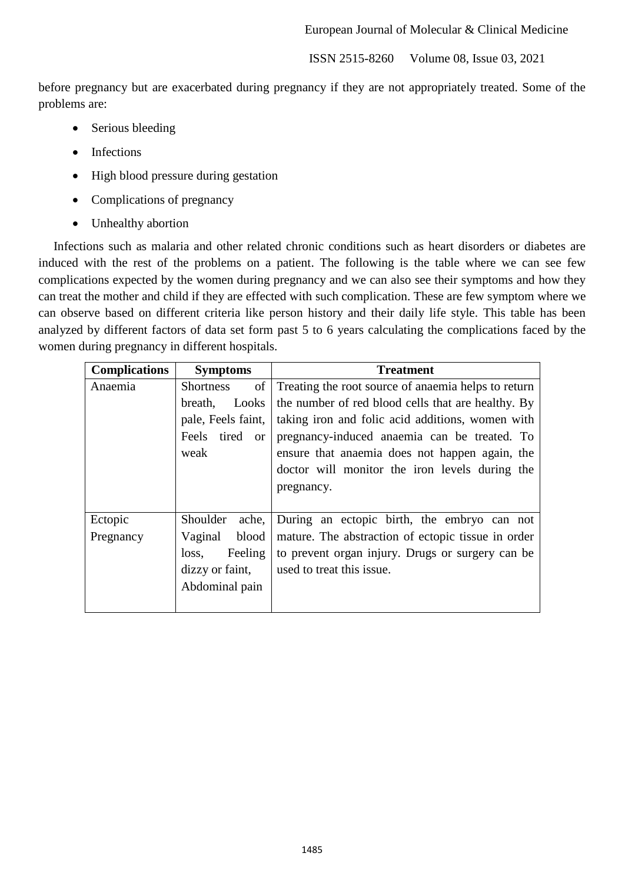before pregnancy but are exacerbated during pregnancy if they are not appropriately treated. Some of the problems are:

- Serious bleeding
- Infections
- High blood pressure during gestation
- Complications of pregnancy
- Unhealthy abortion

Infections such as malaria and other related chronic conditions such as heart disorders or diabetes are induced with the rest of the problems on a patient. The following is the table where we can see few complications expected by the women during pregnancy and we can also see their symptoms and how they can treat the mother and child if they are effected with such complication. These are few symptom where we can observe based on different criteria like person history and their daily life style. This table has been analyzed by different factors of data set form past 5 to 6 years calculating the complications faced by the women during pregnancy in different hospitals.

| <b>Complications</b> | <b>Symptoms</b>          | <b>Treatment</b>                                    |  |  |
|----------------------|--------------------------|-----------------------------------------------------|--|--|
| Anaemia              | of<br><b>Shortness</b>   | Treating the root source of anaemia helps to return |  |  |
|                      | Looks<br>breath,         | the number of red blood cells that are healthy. By  |  |  |
|                      | pale, Feels faint,       | taking iron and folic acid additions, women with    |  |  |
|                      | Feels tired or           | pregnancy-induced anaemia can be treated. To        |  |  |
|                      | weak                     | ensure that anaemia does not happen again, the      |  |  |
|                      |                          | doctor will monitor the iron levels during the      |  |  |
|                      |                          | pregnancy.                                          |  |  |
|                      |                          |                                                     |  |  |
| Ectopic              | ache,<br><b>Shoulder</b> | During an ectopic birth, the embryo can not         |  |  |
| Pregnancy            | Vaginal<br>blood         | mature. The abstraction of ectopic tissue in order  |  |  |
|                      | Feeling<br>loss,         | to prevent organ injury. Drugs or surgery can be    |  |  |
|                      | dizzy or faint,          | used to treat this issue.                           |  |  |
|                      | Abdominal pain           |                                                     |  |  |
|                      |                          |                                                     |  |  |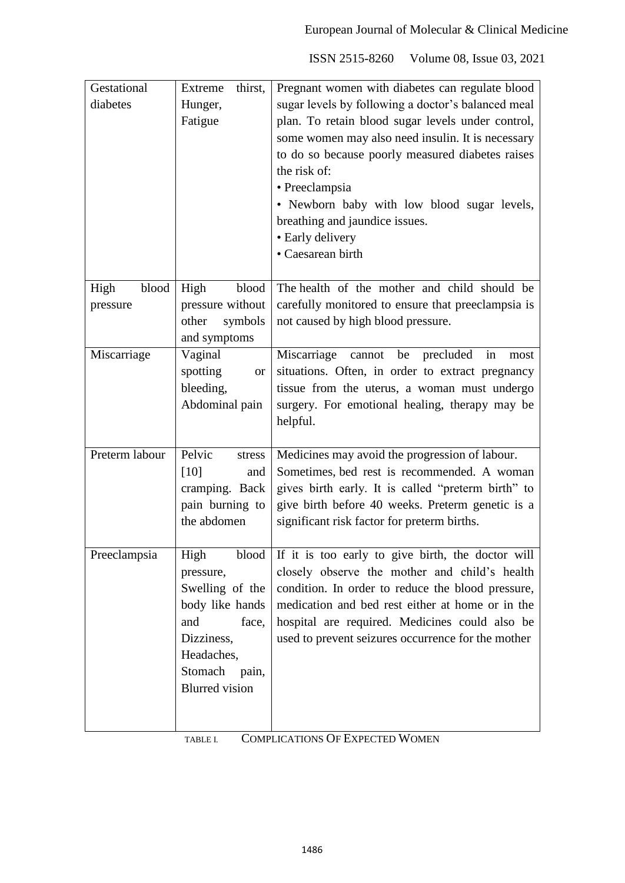| Gestational<br>diabetes   | thirst,<br>Extreme<br>Hunger,<br>Fatigue                                                                                                               | Pregnant women with diabetes can regulate blood<br>sugar levels by following a doctor's balanced meal<br>plan. To retain blood sugar levels under control,<br>some women may also need insulin. It is necessary<br>to do so because poorly measured diabetes raises<br>the risk of:<br>• Preeclampsia<br>• Newborn baby with low blood sugar levels,<br>breathing and jaundice issues.<br>· Early delivery<br>· Caesarean birth |
|---------------------------|--------------------------------------------------------------------------------------------------------------------------------------------------------|---------------------------------------------------------------------------------------------------------------------------------------------------------------------------------------------------------------------------------------------------------------------------------------------------------------------------------------------------------------------------------------------------------------------------------|
| blood<br>High<br>pressure | blood<br>High<br>pressure without<br>symbols<br>other<br>and symptoms                                                                                  | The health of the mother and child should be<br>carefully monitored to ensure that preeclampsia is<br>not caused by high blood pressure.                                                                                                                                                                                                                                                                                        |
| Miscarriage               | Vaginal<br>spotting<br><b>or</b><br>bleeding,<br>Abdominal pain                                                                                        | Miscarriage<br>cannot be<br>precluded<br>in<br>most<br>situations. Often, in order to extract pregnancy<br>tissue from the uterus, a woman must undergo<br>surgery. For emotional healing, therapy may be<br>helpful.                                                                                                                                                                                                           |
| Preterm labour            | Pelvic<br>stress<br>[10]<br>and<br>cramping. Back<br>pain burning to<br>the abdomen                                                                    | Medicines may avoid the progression of labour.<br>Sometimes, bed rest is recommended. A woman<br>gives birth early. It is called "preterm birth" to<br>give birth before 40 weeks. Preterm genetic is a<br>significant risk factor for preterm births.                                                                                                                                                                          |
| Preeclampsia              | High<br>blood<br>pressure,<br>Swelling of the<br>body like hands<br>and<br>face,<br>Dizziness,<br>Headaches,<br>Stomach pain,<br><b>Blurred</b> vision | If it is too early to give birth, the doctor will<br>closely observe the mother and child's health<br>condition. In order to reduce the blood pressure,<br>medication and bed rest either at home or in the<br>hospital are required. Medicines could also be<br>used to prevent seizures occurrence for the mother                                                                                                             |

| TABLE L | <b>COMPLICATIONS OF EXPECTED WOMEN</b> |  |
|---------|----------------------------------------|--|
|         |                                        |  |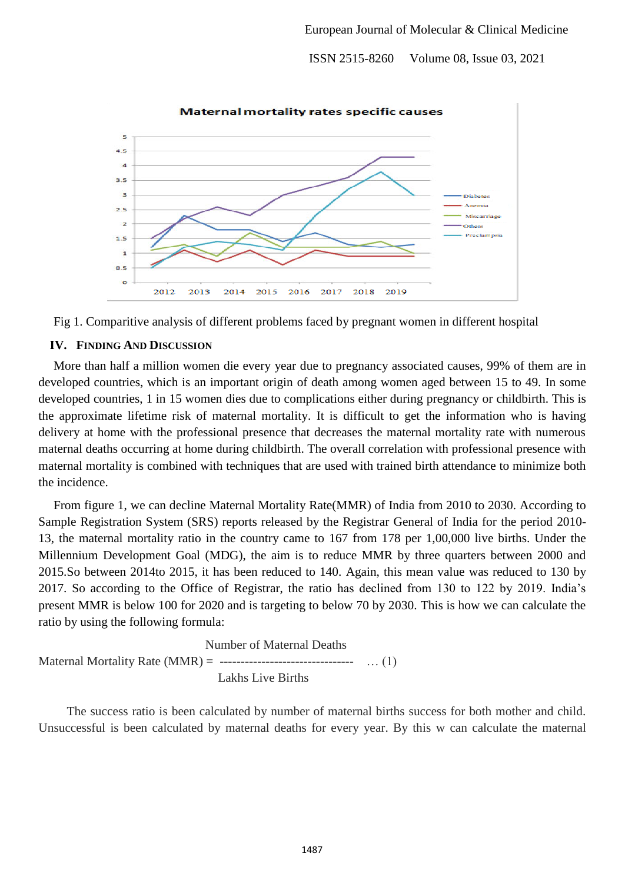

Fig 1. Comparitive analysis of different problems faced by pregnant women in different hospital

#### **IV. FINDING AND DISCUSSION**

More than half a million women die every year due to pregnancy associated causes, 99% of them are in developed countries, which is an important origin of death among women aged between 15 to 49. In some developed countries, 1 in 15 women dies due to complications either during pregnancy or childbirth. This is the approximate lifetime risk of maternal mortality. It is difficult to get the information who is having delivery at home with the professional presence that decreases the maternal mortality rate with numerous maternal deaths occurring at home during childbirth. The overall correlation with professional presence with maternal mortality is combined with techniques that are used with trained birth attendance to minimize both the incidence.

From figure 1, we can decline Maternal Mortality Rate(MMR) of India from 2010 to 2030. According to Sample Registration System (SRS) reports released by the Registrar General of India for the period 2010- 13, the maternal mortality ratio in the country came to 167 from 178 per 1,00,000 live births. Under the Millennium Development Goal (MDG), the aim is to reduce MMR by three quarters between 2000 and 2015.So between 2014to 2015, it has been reduced to 140. Again, this mean value was reduced to 130 by 2017. So according to the Office of Registrar, the ratio has declined from 130 to 122 by 2019. India's present MMR is below 100 for 2020 and is targeting to below 70 by 2030. This is how we can calculate the ratio by using the following formula:

 Number of Maternal Deaths Maternal Mortality Rate (MMR) = -------------------------------- … (1) Lakhs Live Births

 The success ratio is been calculated by number of maternal births success for both mother and child. Unsuccessful is been calculated by maternal deaths for every year. By this w can calculate the maternal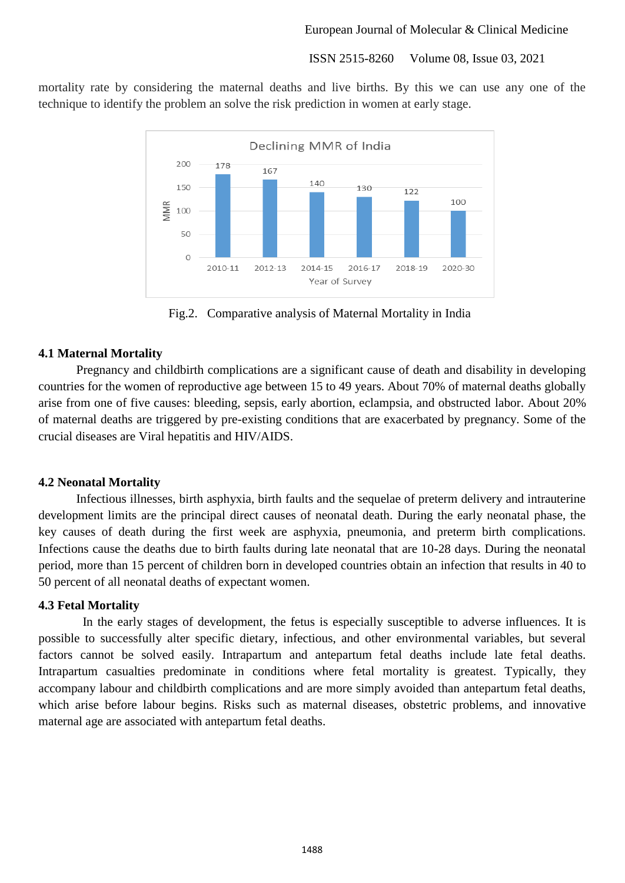mortality rate by considering the maternal deaths and live births. By this we can use any one of the technique to identify the problem an solve the risk prediction in women at early stage.



Fig.2. Comparative analysis of Maternal Mortality in India

# **4.1 Maternal Mortality**

Pregnancy and childbirth complications are a significant cause of death and disability in developing countries for the women of reproductive age between 15 to 49 years. About 70% of maternal deaths globally arise from one of five causes: bleeding, sepsis, early abortion, eclampsia, and obstructed labor. About 20% of maternal deaths are triggered by pre-existing conditions that are exacerbated by pregnancy. Some of the crucial diseases are Viral hepatitis and HIV/AIDS.

## **4.2 Neonatal Mortality**

Infectious illnesses, birth asphyxia, birth faults and the sequelae of preterm delivery and intrauterine development limits are the principal direct causes of neonatal death. During the early neonatal phase, the key causes of death during the first week are asphyxia, pneumonia, and preterm birth complications. Infections cause the deaths due to birth faults during late neonatal that are 10-28 days. During the neonatal period, more than 15 percent of children born in developed countries obtain an infection that results in 40 to 50 percent of all neonatal deaths of expectant women.

# **4.3 Fetal Mortality**

 In the early stages of development, the fetus is especially susceptible to adverse influences. It is possible to successfully alter specific dietary, infectious, and other environmental variables, but several factors cannot be solved easily. Intrapartum and antepartum fetal deaths include late fetal deaths. Intrapartum casualties predominate in conditions where fetal mortality is greatest. Typically, they accompany labour and childbirth complications and are more simply avoided than antepartum fetal deaths, which arise before labour begins. Risks such as maternal diseases, obstetric problems, and innovative maternal age are associated with antepartum fetal deaths.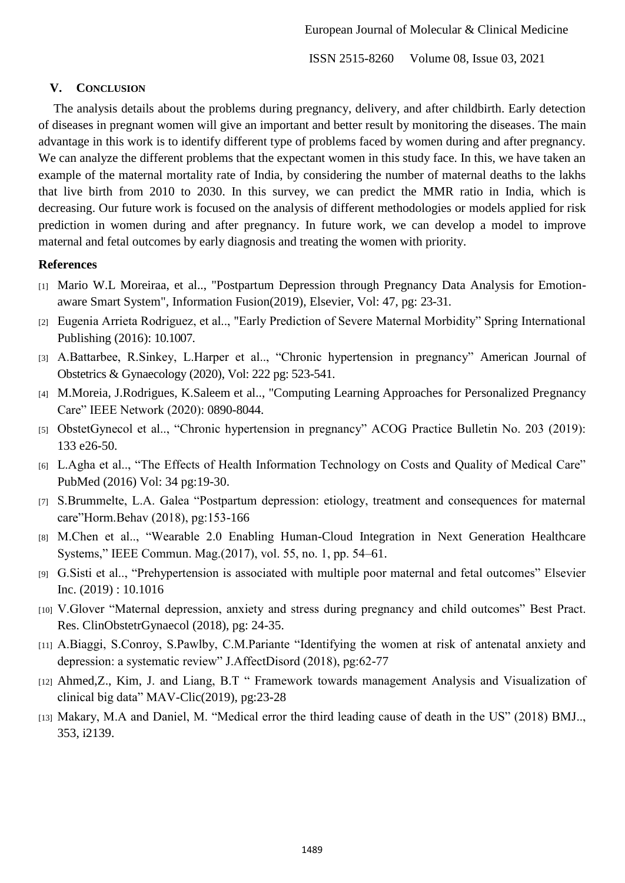# **V. CONCLUSION**

The analysis details about the problems during pregnancy, delivery, and after childbirth. Early detection of diseases in pregnant women will give an important and better result by monitoring the diseases. The main advantage in this work is to identify different type of problems faced by women during and after pregnancy. We can analyze the different problems that the expectant women in this study face. In this, we have taken an example of the maternal mortality rate of India, by considering the number of maternal deaths to the lakhs that live birth from 2010 to 2030. In this survey, we can predict the MMR ratio in India, which is decreasing. Our future work is focused on the analysis of different methodologies or models applied for risk prediction in women during and after pregnancy. In future work, we can develop a model to improve maternal and fetal outcomes by early diagnosis and treating the women with priority.

# **References**

- [1] Mario W.L Moreiraa, et al.., "Postpartum Depression through Pregnancy Data Analysis for Emotionaware Smart System", Information Fusion(2019), Elsevier, Vol: 47, pg: 23-31.
- [2] Eugenia Arrieta Rodriguez, et al.., "Early Prediction of Severe Maternal Morbidity" Spring International Publishing (2016): 10.1007.
- [3] A.Battarbee, R.Sinkey, L.Harper et al.., "Chronic hypertension in pregnancy" American Journal of Obstetrics & Gynaecology (2020), Vol: 222 pg: 523-541.
- [4] M.Moreia, J.Rodrigues, K.Saleem et al.., "Computing Learning Approaches for Personalized Pregnancy Care" IEEE Network (2020): 0890-8044.
- [5] ObstetGynecol et al.., "Chronic hypertension in pregnancy" ACOG Practice Bulletin No. 203 (2019): 133 e26-50.
- [6] L.Agha et al.., "The Effects of Health Information Technology on Costs and Quality of Medical Care" PubMed (2016) Vol: 34 pg:19-30.
- [7] S.Brummelte, L.A. Galea "Postpartum depression: etiology, treatment and consequences for maternal care"Horm.Behav (2018), pg:153-166
- [8] M.Chen et al.., "Wearable 2.0 Enabling Human-Cloud Integration in Next Generation Healthcare Systems," IEEE Commun. Mag.(2017), vol. 55, no. 1, pp. 54–61.
- [9] G.Sisti et al.., "Prehypertension is associated with multiple poor maternal and fetal outcomes" Elsevier Inc. (2019) : 10.1016
- [10] V.Glover "Maternal depression, anxiety and stress during pregnancy and child outcomes" Best Pract. Res. ClinObstetrGynaecol (2018), pg: 24-35.
- [11] A.Biaggi, S.Conroy, S.Pawlby, C.M.Pariante "Identifying the women at risk of antenatal anxiety and depression: a systematic review" J.AffectDisord (2018), pg:62-77
- [12] Ahmed,Z., Kim, J. and Liang, B.T " Framework towards management Analysis and Visualization of clinical big data" MAV-Clic(2019), pg:23-28
- [13] Makary, M.A and Daniel, M. "Medical error the third leading cause of death in the US" (2018) BMJ.., 353, i2139.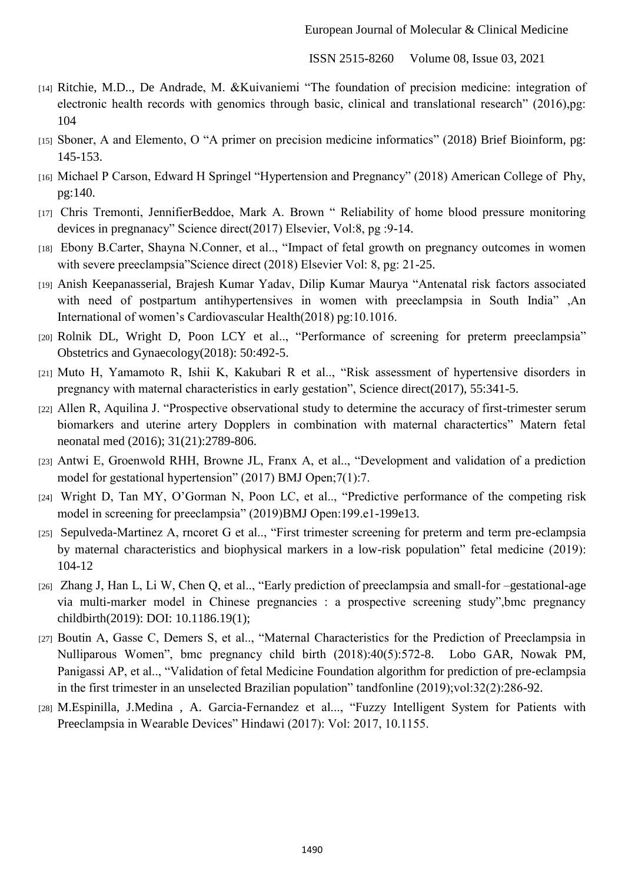- [14] Ritchie, M.D.., De Andrade, M. &Kuivaniemi "The foundation of precision medicine: integration of electronic health records with genomics through basic, clinical and translational research" (2016),pg: 104
- [15] Sboner, A and Elemento, O "A primer on precision medicine informatics" (2018) Brief Bioinform, pg: 145-153.
- [16] Michael P Carson, Edward H Springel "Hypertension and Pregnancy" (2018) American College of Phy, pg:140.
- [17] Chris Tremonti, JennifierBeddoe, Mark A. Brown " Reliability of home blood pressure monitoring devices in pregnanacy" Science direct(2017) Elsevier, Vol:8, pg :9-14.
- [18] Ebony B.Carter, Shayna N.Conner, et al.., "Impact of fetal growth on pregnancy outcomes in women with severe preeclampsia"Science direct (2018) Elsevier Vol: 8, pg: 21-25.
- [19] Anish Keepanasserial, Brajesh Kumar Yadav, Dilip Kumar Maurya "Antenatal risk factors associated with need of postpartum antihypertensives in women with preeclampsia in South India" ,An International of women's Cardiovascular Health(2018) pg:10.1016.
- [20] Rolnik DL, Wright D, Poon LCY et al.., "Performance of screening for preterm preeclampsia" Obstetrics and Gynaecology(2018): 50:492-5.
- [21] Muto H, Yamamoto R, Ishii K, Kakubari R et al.., "Risk assessment of hypertensive disorders in pregnancy with maternal characteristics in early gestation", Science direct(2017), 55:341-5.
- [22] Allen R, Aquilina J. "Prospective observational study to determine the accuracy of first-trimester serum biomarkers and uterine artery Dopplers in combination with maternal charactertics" Matern fetal neonatal med (2016); 31(21):2789-806.
- [23] Antwi E, Groenwold RHH, Browne JL, Franx A, et al.., "Development and validation of a prediction model for gestational hypertension" (2017) BMJ Open;7(1):7.
- [24] Wright D, Tan MY, O'Gorman N, Poon LC, et al.., "Predictive performance of the competing risk model in screening for preeclampsia" (2019)BMJ Open:199.e1-199e13.
- [25] Sepulveda-Martinez A, rncoret G et al.., "First trimester screening for preterm and term pre-eclampsia by maternal characteristics and biophysical markers in a low-risk population" fetal medicine (2019): 104-12
- [26] Zhang J, Han L, Li W, Chen Q, et al.., "Early prediction of preeclampsia and small-for –gestational-age via multi-marker model in Chinese pregnancies : a prospective screening study",bmc pregnancy childbirth(2019): DOI: 10.1186.19(1);
- [27] Boutin A, Gasse C, Demers S, et al.., "Maternal Characteristics for the Prediction of Preeclampsia in Nulliparous Women", bmc pregnancy child birth (2018):40(5):572-8. Lobo GAR, Nowak PM, Panigassi AP, et al.., "Validation of fetal Medicine Foundation algorithm for prediction of pre-eclampsia in the first trimester in an unselected Brazilian population" tandfonline (2019);vol:32(2):286-92.
- [28] M.Espinilla, J.Medina , A. Garcia-Fernandez et al..., "Fuzzy Intelligent System for Patients with Preeclampsia in Wearable Devices" Hindawi (2017): Vol: 2017, 10.1155.